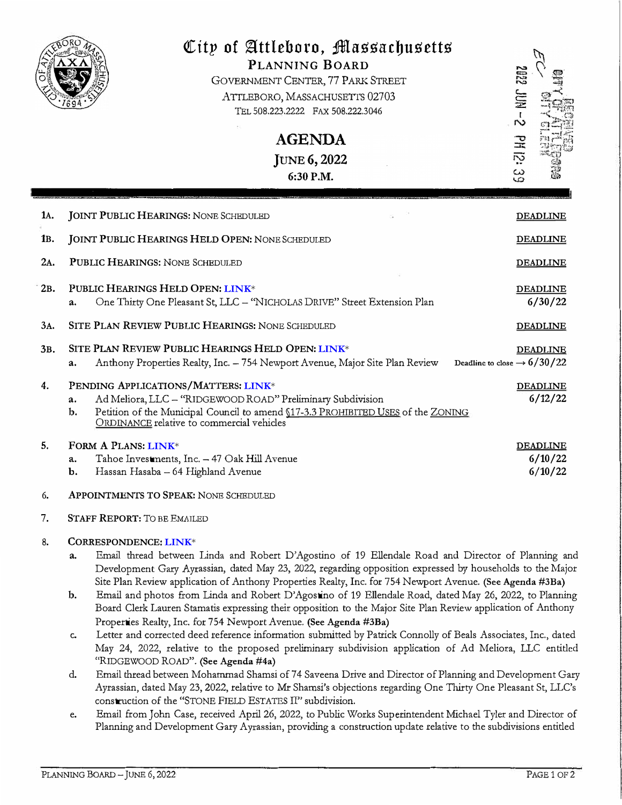

# *QCitp* **of �ttleboro, ;ifl!lassacbusetts**

PLANNING BOARD GOVERNMENT CENTER, 77 PARK STREET ATTLEBORO, MASSACHUSETTS 02703 TEL 508.223.2222 FAX 508.222.3046

> **AGENDA**  JUNE 6, 2022 6:30 P.M.

lA. 1B. 2A. 2B. 3A. 3B. 4. 5. DEADLINE DEADLINE DEADLINE DEADLINE 6/30/22 DEADLINE DEADLINE Deadline to close  $\rightarrow$  6/30/22 JOINT PUBLIC HEARINGS: NONE SCHEDULED JOINT PUBLIC HEARINGS HELD OPEN: NONE SCHEDULED PUBLIC HEARINGS: NONE SCHEDULED PUBLIC HEARINGS HELD OPEN: **[LINK](https://drive.google.com/drive/folders/1Yw9KCxWk7GISDveQ6l82SQOG9Rnouz24?usp=sharing)**\* a. One Thirty One Pleasant St, LLC - "NICHOLAS DRIVE" Street Extension Plan SITE PLAN REVIEW PUBLIC HEARINGS: NONE SCHEDULED SITE PLAN REVIEW PUBLIC HEARINGS HELD OPEN: **[LINK](https://drive.google.com/drive/folders/1Yw9KCxWk7GISDveQ6l82SQOG9Rnouz24?usp=sharing)**\* a. Anthony Properties Realty, Inc. - 754 Newport Avenue, Major Site Plan Review PENDING APPLICATIONS/MATTERS: **[LINK](https://drive.google.com/drive/folders/1HNUmOAbdxMCl6-rGK-nAugMk7k2V1ZYi?usp=sharing)**\* a. Ad Meliora, LLC - "RIDGEWOOD ROAD" Preliminary Subdivision b. Petition of the Municipal Council to amend \$17-3.3 PROHIBITED USES of the ZONING ORDINANCE relative to commercial vehicles FORMA PLANS: **[LINK](https://drive.google.com/drive/folders/1AVswkNEaYTjVUmgNZnDreVSI0sRuzUva?usp=sharing)**\* a. Tahoe Investments, Inc. - 47 Oak Hill Avenue b. Hassan Hasaba - 64 Highland Avenue DEADLINE 6/12/22 DEADLINE 6/10/22 6/10/22

#### 6.APPOINTMENTS TO SPEAK: NONE SCHEDULED

7. STAFF REPORT: TO BE EMAILED

# 8. CORRESPONDENCE: **[LINK](https://drive.google.com/drive/folders/1csMkvvUWgc3PHRPHSo1tJuTJHe4w61Ji?usp=sharing)**\*

- a. Email thread between Linda and Robert D'Agostino of 19 Ellendale Road and Director of Planning and Development Gary Ayrassian, dated May 23, 2022, regarding opposition expressed by households to the Major Site Plan Review application of Anthony Properties Realty, Inc. for 754 Newport Avenue. (See Agenda #3Ba)
- b. Email and photos from Linda and Robert D'Agostino of <sup>19</sup> Ellendale Road, dated May 26, 2022, to Planning Board Clerk Lauren Stamatis expressing their opposition to the Major Site Plan Review application of Anthony Properties Realty, Inc. for 754 Newport Avenue. (See Agenda #3Ba)
- c. Letter and corrected deed reference information submitted by Patrick Connolly of Beals Associates, Inc., dated May 24, 2022, relative to the proposed preliminary subdivision application of Ad Meliora, LLC entitled "RIDGEWOOD ROAD". (See Agenda #4a)
- d. Email thread between Mohammad Shamsi of 74 Saveena Drive and Director of Planning and Development Gary Ayrassian, dated May 23, 2022, relative to Mr Shamsi's objections regarding One Thirty One Pleasant St, LLC's construction of the "STONE FIELD ESTATES II" subdivision.
- e. Email from John Case, received April 26, 2022, to Public Works Superintendent Michael Tyler and Director of Planning and Development Gary Ayrassian, providing a construction update relative to the subdivisions entitled

**PH12:** 

 $\omega$